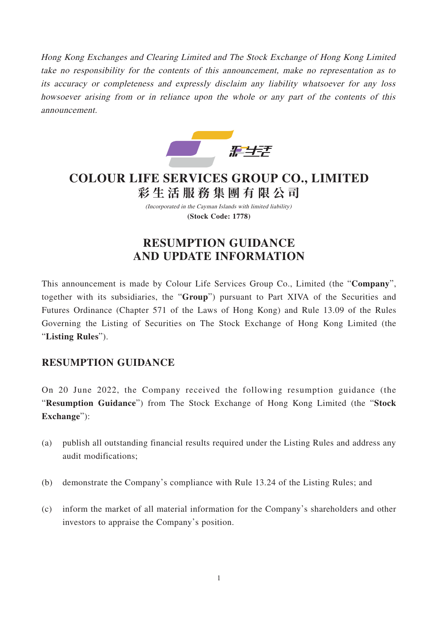Hong Kong Exchanges and Clearing Limited and The Stock Exchange of Hong Kong Limited take no responsibility for the contents of this announcement, make no representation as to its accuracy or completeness and expressly disclaim any liability whatsoever for any loss howsoever arising from or in reliance upon the whole or any part of the contents of this announcement.



# **COLOUR LIFE SERVICES GROUP CO., LIMITED 彩生活服務集團有限公 司**

(Incorporated in the Cayman Islands with limited liability) **(Stock Code: 1778)**

## **RESUMPTION GUIDANCE AND UPDATE INFORMATION**

This announcement is made by Colour Life Services Group Co., Limited (the "**Company**", together with its subsidiaries, the "**Group**") pursuant to Part XIVA of the Securities and Futures Ordinance (Chapter 571 of the Laws of Hong Kong) and Rule 13.09 of the Rules Governing the Listing of Securities on The Stock Exchange of Hong Kong Limited (the "**Listing Rules**").

### **RESUMPTION GUIDANCE**

On 20 June 2022, the Company received the following resumption guidance (the "**Resumption Guidance**") from The Stock Exchange of Hong Kong Limited (the "**Stock Exchange**"):

- (a) publish all outstanding financial results required under the Listing Rules and address any audit modifications;
- (b) demonstrate the Company's compliance with Rule 13.24 of the Listing Rules; and
- (c) inform the market of all material information for the Company's shareholders and other investors to appraise the Company's position.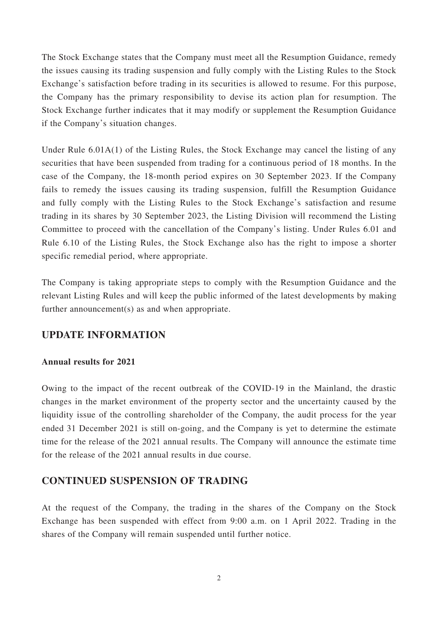The Stock Exchange states that the Company must meet all the Resumption Guidance, remedy the issues causing its trading suspension and fully comply with the Listing Rules to the Stock Exchange's satisfaction before trading in its securities is allowed to resume. For this purpose, the Company has the primary responsibility to devise its action plan for resumption. The Stock Exchange further indicates that it may modify or supplement the Resumption Guidance if the Company's situation changes.

Under Rule 6.01A(1) of the Listing Rules, the Stock Exchange may cancel the listing of any securities that have been suspended from trading for a continuous period of 18 months. In the case of the Company, the 18-month period expires on 30 September 2023. If the Company fails to remedy the issues causing its trading suspension, fulfill the Resumption Guidance and fully comply with the Listing Rules to the Stock Exchange's satisfaction and resume trading in its shares by 30 September 2023, the Listing Division will recommend the Listing Committee to proceed with the cancellation of the Company's listing. Under Rules 6.01 and Rule 6.10 of the Listing Rules, the Stock Exchange also has the right to impose a shorter specific remedial period, where appropriate.

The Company is taking appropriate steps to comply with the Resumption Guidance and the relevant Listing Rules and will keep the public informed of the latest developments by making further announcement(s) as and when appropriate.

#### **UPDATE INFORMATION**

#### **Annual results for 2021**

Owing to the impact of the recent outbreak of the COVID-19 in the Mainland, the drastic changes in the market environment of the property sector and the uncertainty caused by the liquidity issue of the controlling shareholder of the Company, the audit process for the year ended 31 December 2021 is still on-going, and the Company is yet to determine the estimate time for the release of the 2021 annual results. The Company will announce the estimate time for the release of the 2021 annual results in due course.

#### **CONTINUED SUSPENSION OF TRADING**

At the request of the Company, the trading in the shares of the Company on the Stock Exchange has been suspended with effect from 9:00 a.m. on 1 April 2022. Trading in the shares of the Company will remain suspended until further notice.